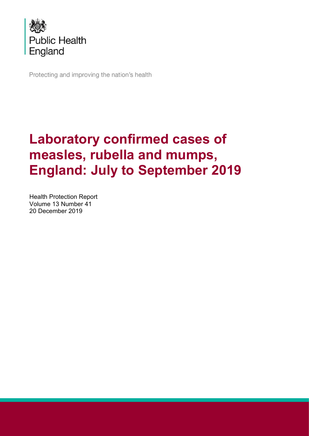

Protecting and improving the nation's health

# **Laboratory confirmed cases of measles, rubella and mumps, England: July to September 2019**

Health Protection Report Volume 13 Number 41 20 December 2019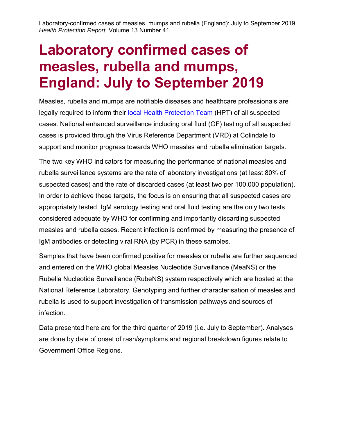# **Laboratory confirmed cases of measles, rubella and mumps, England: July to September 2019**

Measles, rubella and mumps are notifiable diseases and healthcare professionals are legally required to inform their [local Health Protection Team](https://www.gov.uk/health-protection-team) (HPT) of all suspected cases. National enhanced surveillance including oral fluid (OF) testing of all suspected cases is provided through the Virus Reference Department (VRD) at Colindale to support and monitor progress towards WHO measles and rubella elimination targets.

The two key WHO indicators for measuring the performance of national measles and rubella surveillance systems are the rate of laboratory investigations (at least 80% of suspected cases) and the rate of discarded cases (at least two per 100,000 population). In order to achieve these targets, the focus is on ensuring that all suspected cases are appropriately tested. IgM serology testing and oral fluid testing are the only two tests considered adequate by WHO for confirming and importantly discarding suspected measles and rubella cases. Recent infection is confirmed by measuring the presence of IgM antibodies or detecting viral RNA (by PCR) in these samples.

Samples that have been confirmed positive for measles or rubella are further sequenced and entered on the WHO global Measles Nucleotide Surveillance (MeaNS) or the Rubella Nucleotide Surveillance (RubeNS) system respectively which are hosted at the National Reference Laboratory. Genotyping and further characterisation of measles and rubella is used to support investigation of transmission pathways and sources of infection.

Data presented here are for the third quarter of 2019 (i.e. July to September). Analyses are done by date of onset of rash/symptoms and regional breakdown figures relate to Government Office Regions.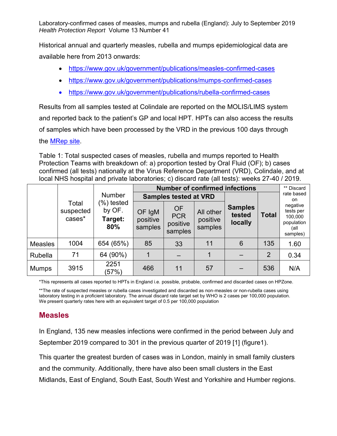Historical annual and quarterly measles, rubella and mumps epidemiological data are available here from 2013 onwards:

- <https://www.gov.uk/government/publications/measles-confirmed-cases>
- <https://www.gov.uk/government/publications/mumps-confirmed-cases>
- <https://www.gov.uk/government/publications/rubella-confirmed-cases>

Results from all samples tested at Colindale are reported on the MOLIS/LIMS system and reported back to the patient's GP and local HPT. HPTs can also access the results of samples which have been processed by the VRD in the previous 100 days through the [MRep](http://158.119.147.55/secure/mrep/home.php) site.

Table 1: Total suspected cases of measles, rubella and mumps reported to Health Protection Teams with breakdown of: a) proportion tested by Oral Fluid (OF); b) cases confirmed (all tests) nationally at the Virus Reference Department (VRD), Colindale, and at local NHS hospital and private laboratories; c) discard rate (all tests): weeks 27-40 / 2019.

|                |                              | <b>Number</b>                             | <b>Number of confirmed infections</b> | ** Discard                                     |                                  |                                     |                |                                                                                        |
|----------------|------------------------------|-------------------------------------------|---------------------------------------|------------------------------------------------|----------------------------------|-------------------------------------|----------------|----------------------------------------------------------------------------------------|
|                |                              |                                           |                                       | <b>Samples tested at VRD</b>                   |                                  |                                     |                | rate based<br>on<br>negative<br>tests per<br>100,000<br>population<br>(all<br>samples) |
|                | Total<br>suspected<br>cases* | $(\%)$ tested<br>by OF.<br>Target:<br>80% | OF IgM<br>positive<br>samples         | <b>OF</b><br><b>PCR</b><br>positive<br>samples | All other<br>positive<br>samples | <b>Samples</b><br>tested<br>locally | <b>Total</b>   |                                                                                        |
| <b>Measles</b> | 1004                         | 654 (65%)                                 | 85                                    | 33                                             | 11                               | 6                                   | 135            | 1.60                                                                                   |
| Rubella        | 71                           | 64 (90%)                                  |                                       |                                                | 1                                |                                     | $\overline{2}$ | 0.34                                                                                   |
| <b>Mumps</b>   | 3915                         | 2251<br>(57%)                             | 466                                   | 11                                             | 57                               |                                     | 536            | N/A                                                                                    |

\*This represents all cases reported to HPTs in England i.e. possible, probable, confirmed and discarded cases on HPZone.

\*\*The rate of suspected measles or rubella cases investigated and discarded as non-measles or non-rubella cases using laboratory testing in a proficient laboratory. The annual discard rate target set by WHO is 2 cases per 100,000 population. We present quarterly rates here with an equivalent target of 0.5 per 100,000 population

#### **Measles**

In England, 135 new measles infections were confirmed in the period between July and September 2019 compared to 301 in the previous quarter of 2019 [1] (figure1).

This quarter the greatest burden of cases was in London, mainly in small family clusters and the community. Additionally, there have also been small clusters in the East Midlands, East of England, South East, South West and Yorkshire and Humber regions.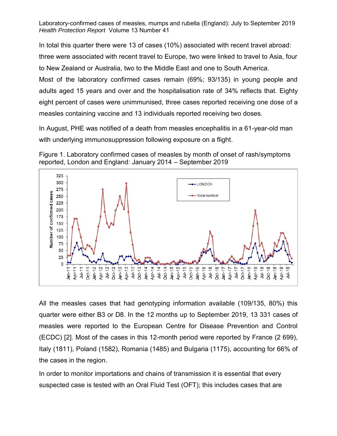In total this quarter there were 13 of cases (10%) associated with recent travel abroad:

three were associated with recent travel to Europe, two were linked to travel to Asia, four to New Zealand or Australia, two to the Middle East and one to South America.

Most of the laboratory confirmed cases remain (69%; 93/135) in young people and adults aged 15 years and over and the hospitalisation rate of 34% reflects that. Eighty eight percent of cases were unimmunised, three cases reported receiving one dose of a measles containing vaccine and 13 individuals reported receiving two doses.

In August, PHE was notified of a death from measles encephalitis in a 61-year-old man with underlying immunosuppression following exposure on a flight.





All the measles cases that had genotyping information available (109/135, 80%) this quarter were either B3 or D8. In the 12 months up to September 2019, 13 331 cases of measles were reported to the European Centre for Disease Prevention and Control (ECDC) [2]. Most of the cases in this 12-month period were reported by France (2 699), Italy (1811), Poland (1582), Romania (1485) and Bulgaria (1175), accounting for 66% of the cases in the region.

In order to monitor importations and chains of transmission it is essential that every suspected case is tested with an Oral Fluid Test (OFT); this includes cases that are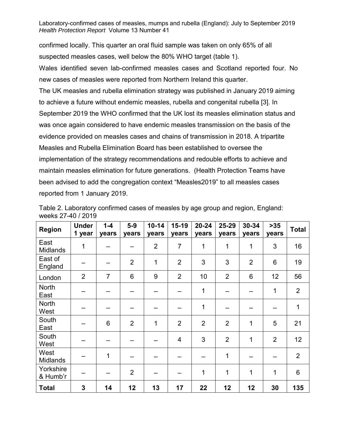confirmed locally. This quarter an oral fluid sample was taken on only 65% of all suspected measles cases, well below the 80% WHO target (table 1). Wales identified seven lab-confirmed measles cases and Scotland reported four. No new cases of measles were reported from Northern Ireland this quarter. The UK measles and rubella elimination strategy was published in January 2019 aiming to achieve a future without endemic measles, rubella and congenital rubella [3]. In September 2019 the WHO confirmed that the UK lost its measles elimination status and was once again considered to have endemic measles transmission on the basis of the evidence provided on measles cases and chains of transmission in 2018. A tripartite Measles and Rubella Elimination Board has been established to oversee the implementation of the strategy recommendations and redouble efforts to achieve and maintain measles elimination for future generations. (Health Protection Teams have been advised to add the congregation context "Measles2019" to all measles cases reported from 1 January 2019.

| <b>Region</b>           | <b>Under</b><br>1 year | $1 - 4$<br>years | $5-9$<br>years | $10 - 14$<br>years | $15-19$<br>years | $20 - 24$<br>years | 25-29<br>years | $30 - 34$<br>years | $>35$<br>years | <b>Total</b>   |
|-------------------------|------------------------|------------------|----------------|--------------------|------------------|--------------------|----------------|--------------------|----------------|----------------|
| East<br>Midlands        | 1                      |                  |                | $\overline{2}$     | $\overline{7}$   | 1                  | 1              | 1                  | 3              | 16             |
| East of<br>England      |                        |                  | $\overline{2}$ | 1                  | $\overline{2}$   | 3                  | 3              | $\overline{2}$     | 6              | 19             |
| London                  | $\overline{2}$         | $\overline{7}$   | 6              | 9                  | $\overline{2}$   | 10                 | $\overline{2}$ | 6                  | 12             | 56             |
| <b>North</b><br>East    |                        |                  |                |                    |                  | 1                  |                |                    | $\mathbf{1}$   | $\overline{2}$ |
| <b>North</b><br>West    |                        |                  |                |                    |                  | 1                  |                |                    |                | 1              |
| South<br>East           |                        | 6                | $\overline{2}$ | 1                  | $\overline{2}$   | $\overline{2}$     | $\overline{2}$ | 1                  | 5              | 21             |
| South<br>West           |                        |                  |                |                    | 4                | 3                  | $\overline{2}$ | 1                  | $\overline{2}$ | 12             |
| West<br><b>Midlands</b> |                        | 1                |                |                    |                  |                    | 1              |                    |                | $\overline{2}$ |
| Yorkshire<br>& Humb'r   |                        |                  | $\overline{2}$ |                    |                  | 1                  | 1              | 1                  | 1              | $6\phantom{1}$ |
| <b>Total</b>            | 3                      | 14               | 12             | 13                 | 17               | 22                 | 12             | 12                 | 30             | 135            |

Table 2. Laboratory confirmed cases of measles by age group and region, England: weeks 27-40 / 2019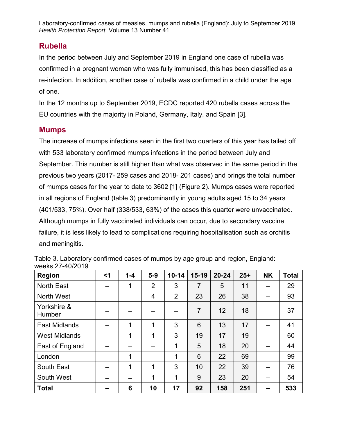#### **Rubella**

In the period between July and September 2019 in England one case of rubella was confirmed in a pregnant woman who was fully immunised, this has been classified as a re-infection. In addition, another case of rubella was confirmed in a child under the age of one.

In the 12 months up to September 2019, ECDC reported 420 rubella cases across the EU countries with the majority in Poland, Germany, Italy, and Spain [3].

#### **Mumps**

The increase of mumps infections seen in the first two quarters of this year has tailed off with 533 laboratory confirmed mumps infections in the period between July and September. This number is still higher than what was observed in the same period in the previous two years (2017- 259 cases and 2018- 201 cases) and brings the total number of mumps cases for the year to date to 3602 [1] (Figure 2). Mumps cases were reported in all regions of England (table 3) predominantly in young adults aged 15 to 34 years (401/533, 75%). Over half (338/533, 63%) of the cases this quarter were unvaccinated. Although mumps in fully vaccinated individuals can occur, due to secondary vaccine failure, it is less likely to lead to complications requiring hospitalisation such as orchitis and meningitis.

| <b>Region</b>         | $<$ 1 | $1 - 4$ | $5-9$          | $10 - 14$      | $15-19$        | $20 - 24$ | $25+$ | <b>NK</b> | <b>Total</b> |
|-----------------------|-------|---------|----------------|----------------|----------------|-----------|-------|-----------|--------------|
| North East            |       | 1       | $\overline{2}$ | 3              | $\overline{7}$ | 5         | 11    |           | 29           |
| North West            |       |         | $\overline{4}$ | $\overline{2}$ | 23             | 26        | 38    |           | 93           |
| Yorkshire &<br>Humber |       |         |                |                | $\overline{7}$ | 12        | 18    |           | 37           |
| <b>East Midlands</b>  |       | 1       | 1              | 3              | 6              | 13        | 17    |           | 41           |
| <b>West Midlands</b>  |       | 1       | 1              | 3              | 19             | 17        | 19    |           | 60           |
| East of England       |       |         |                | 1              | 5              | 18        | 20    |           | 44           |
| London                | –     | 1       |                | 1              | 6              | 22        | 69    |           | 99           |
| South East            |       | 1       | 1              | 3              | 10             | 22        | 39    |           | 76           |
| South West            | –     | -       | 1              | 1              | 9              | 23        | 20    |           | 54           |
| <b>Total</b>          | -     | 6       | 10             | 17             | 92             | 158       | 251   |           | 533          |

| Table 3. Laboratory confirmed cases of mumps by age group and region, England: |  |  |  |  |  |
|--------------------------------------------------------------------------------|--|--|--|--|--|
| weeks 27-40/2019                                                               |  |  |  |  |  |
|                                                                                |  |  |  |  |  |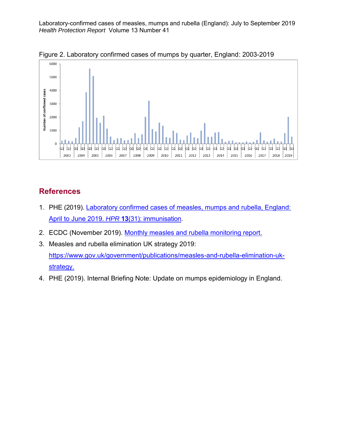

Figure 2. Laboratory confirmed cases of mumps by quarter, England: 2003-2019

### **References**

- 1. PHE (2019). [Laboratory confirmed cases of measles, mumps and rubella, England:](https://www.gov.uk/government/publications/measles-mumps-and-rubella-lab-confirmed-cases-in-england-2019)  April to June 2019. *HPR* **13**[\(31\): immunisation.](https://www.gov.uk/government/publications/measles-mumps-and-rubella-lab-confirmed-cases-in-england-2019)
- 2. ECDC (November 2019). Monthly [measles and rubella monitoring report.](https://www.ecdc.europa.eu/sites/default/files/documents/measles-monthly-report-november-2019.pdf)
- 3. Measles and rubella elimination UK strategy 2019: [https://www.gov.uk/government/publications/measles-and-rubella-elimination-uk](https://www.gov.uk/government/publications/measles-and-rubella-elimination-uk-strategy)[strategy.](https://www.gov.uk/government/publications/measles-and-rubella-elimination-uk-strategy)
- 4. PHE (2019). Internal Briefing Note: Update on mumps epidemiology in England.